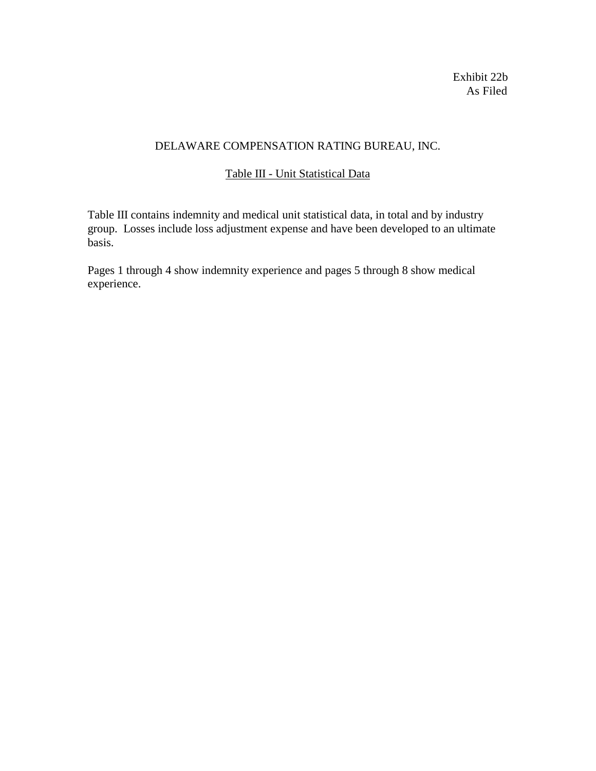Exhibit 22b As Filed

# DELAWARE COMPENSATION RATING BUREAU, INC.

# Table III - Unit Statistical Data

Table III contains indemnity and medical unit statistical data, in total and by industry group. Losses include loss adjustment expense and have been developed to an ultimate basis.

Pages 1 through 4 show indemnity experience and pages 5 through 8 show medical experience.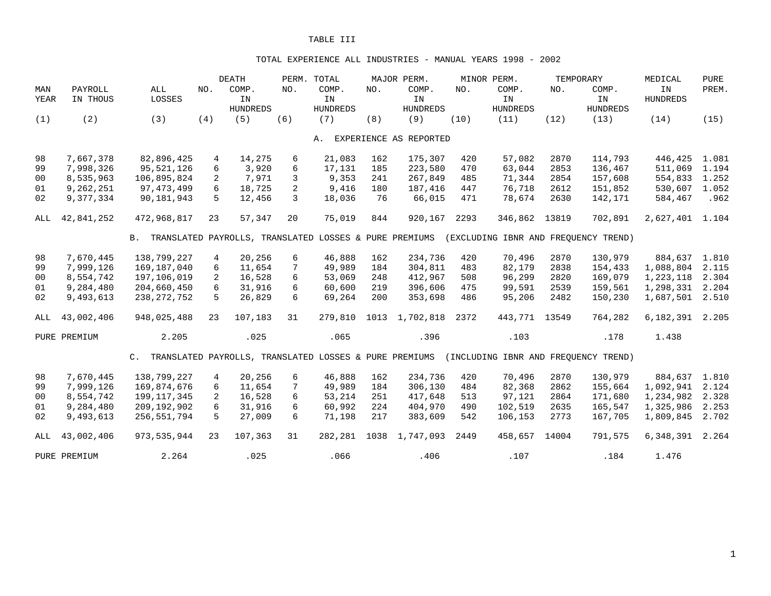#### TOTAL EXPERIENCE ALL INDUSTRIES - MANUAL YEARS 1998 - 2002

|      |              |                                                           |                  | <b>DEATH</b>    |              | PERM. TOTAL     |     | MAJOR PERM.            |      | MINOR PERM.     |       | TEMPORARY                            | MEDICAL         | <b>PURE</b> |
|------|--------------|-----------------------------------------------------------|------------------|-----------------|--------------|-----------------|-----|------------------------|------|-----------------|-------|--------------------------------------|-----------------|-------------|
| MAN  | PAYROLL      | ALL                                                       | NO.              | COMP.           | NO.          | COMP.           | NO. | COMP.                  | NO.  | COMP.           | NO.   | COMP.                                | IN              | PREM.       |
| YEAR | IN THOUS     | LOSSES                                                    |                  | IN              |              | IN              |     | IN                     |      | IN              |       | IN                                   | <b>HUNDREDS</b> |             |
|      |              |                                                           |                  | <b>HUNDREDS</b> |              | <b>HUNDREDS</b> |     | <b>HUNDREDS</b>        |      | <b>HUNDREDS</b> |       | <b>HUNDREDS</b>                      |                 |             |
| (1)  | (2)          | (3)                                                       | (4)              | (5)             | (6)          | (7)             | (8) | (9)                    | (10) | (11)            | (12)  | (13)                                 | (14)            | (15)        |
|      |              |                                                           |                  |                 |              | Α.              |     | EXPERIENCE AS REPORTED |      |                 |       |                                      |                 |             |
|      |              |                                                           |                  |                 |              |                 |     |                        |      |                 |       |                                      |                 |             |
| 98   | 7,667,378    | 82,896,425                                                | 4                | 14,275          | 6            | 21,083          | 162 | 175,307                | 420  | 57,082          | 2870  | 114,793                              | 446,425         | 1.081       |
| 99   | 7,998,326    | 95,521,126                                                | 6                | 3,920           | 6            | 17,131          | 185 | 223,580                | 470  | 63,044          | 2853  | 136,467                              | 511,069         | 1.194       |
| 00   | 8,535,963    | 106,895,824                                               | 2                | 7,971           | 3            | 9,353           | 241 | 267,849                | 485  | 71,344          | 2854  | 157,608                              | 554,833         | 1.252       |
| 01   | 9,262,251    | 97, 473, 499                                              | 6                | 18,725          | 2            | 9,416           | 180 | 187,416                | 447  | 76,718          | 2612  | 151,852                              | 530,607         | 1.052       |
| 02   | 9,377,334    | 90,181,943                                                | 5                | 12,456          | $\mathbf{3}$ | 18,036          | 76  | 66,015                 | 471  | 78,674          | 2630  | 142,171                              | 584,467         | .962        |
| ALL  | 42,841,252   | 472,968,817                                               | 23               | 57,347          | 20           | 75,019          | 844 | 920,167                | 2293 | 346,862         | 13819 | 702,891                              | 2,627,401 1.104 |             |
|      |              | B. TRANSLATED PAYROLLS, TRANSLATED LOSSES & PURE PREMIUMS |                  |                 |              |                 |     |                        |      |                 |       | (EXCLUDING IBNR AND FREOUENCY TREND) |                 |             |
| 98   | 7,670,445    | 138,799,227                                               | 4                | 20,256          | 6            | 46,888          | 162 | 234,736                | 420  | 70,496          | 2870  | 130,979                              | 884,637         | 1.810       |
| 99   | 7,999,126    | 169,187,040                                               | 6                | 11,654          | 7            | 49,989          | 184 | 304,811                | 483  | 82,179          | 2838  | 154,433                              | 1,088,804       | 2.115       |
| 00   | 8,554,742    | 197,106,019                                               | 2                | 16,528          | 6            | 53,069          | 248 | 412,967                | 508  | 96,299          | 2820  | 169,079                              | 1,223,118       | 2.304       |
| 01   | 9,284,480    | 204,660,450                                               | 6                | 31,916          | 6            | 60,600          | 219 | 396,606                | 475  | 99,591          | 2539  | 159,561                              | 1,298,331       | 2.204       |
| 02   | 9,493,613    | 238, 272, 752                                             | 5                | 26,829          | 6            | 69,264          | 200 | 353,698                | 486  | 95,206          | 2482  | 150,230                              | 1,687,501       | 2.510       |
|      |              |                                                           |                  |                 |              |                 |     |                        |      |                 |       |                                      |                 |             |
| ALL  | 43,002,406   | 948,025,488                                               | 23               | 107,183         | 31           | 279,810         |     | 1013 1,702,818         | 2372 | 443,771         | 13549 | 764,282                              | 6,182,391       | 2.205       |
|      | PURE PREMIUM | 2.205                                                     |                  | .025            |              | .065            |     | .396                   |      | .103            |       | .178                                 | 1.438           |             |
|      |              | C. TRANSLATED PAYROLLS, TRANSLATED LOSSES & PURE PREMIUMS |                  |                 |              |                 |     |                        |      |                 |       | (INCLUDING IBNR AND FREOUENCY TREND) |                 |             |
| 98   | 7,670,445    | 138,799,227                                               | $\overline{4}$   | 20,256          | 6            | 46,888          | 162 | 234,736                | 420  | 70,496          | 2870  | 130,979                              | 884,637         | 1.810       |
| 99   | 7,999,126    | 169,874,676                                               | 6                | 11,654          | 7            | 49,989          | 184 | 306,130                | 484  | 82,368          | 2862  | 155,664                              | 1,092,941       | 2.124       |
| 00   | 8,554,742    | 199, 117, 345                                             | 2                | 16,528          | 6            | 53,214          | 251 | 417,648                | 513  | 97,121          | 2864  | 171,680                              | 1,234,982       | 2.328       |
| 01   | 9,284,480    | 209,192,902                                               | $6 \overline{6}$ | 31,916          | 6            | 60,992          | 224 | 404,970                | 490  | 102,519         | 2635  | 165,547                              | 1,325,986       | 2.253       |
| 02   | 9,493,613    | 256,551,794                                               | 5                | 27,009          | 6            | 71,198          | 217 | 383,609                | 542  | 106,153         | 2773  | 167,705                              | 1,809,845       | 2.702       |
|      |              |                                                           |                  |                 |              |                 |     |                        |      |                 |       |                                      |                 |             |
| ALL  | 43,002,406   | 973,535,944                                               | 23               | 107,363         | 31           | 282,281         |     | 1038 1,747,093         | 2449 | 458,657         | 14004 | 791,575                              | 6,348,391       | 2.264       |
|      | PURE PREMIUM | 2.264                                                     |                  | .025            |              | .066            |     | .406                   |      | .107            |       | .184                                 | 1.476           |             |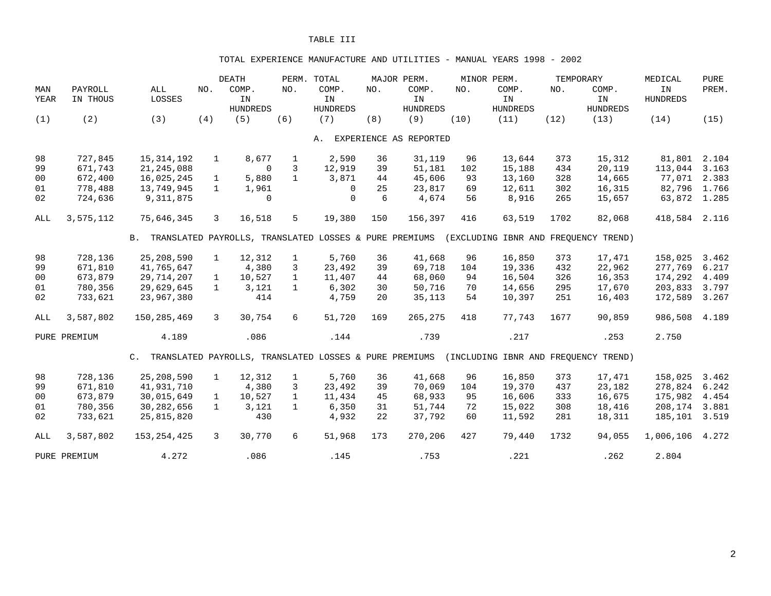#### TOTAL EXPERIENCE MANUFACTURE AND UTILITIES - MANUAL YEARS 1998 - 2002

|      |              |                                                                                                |              | <b>DEATH</b>    |              | PERM. TOTAL     |     | MAJOR PERM.            |      | MINOR PERM.     |      | TEMPORARY                            | MEDICAL         | <b>PURE</b> |
|------|--------------|------------------------------------------------------------------------------------------------|--------------|-----------------|--------------|-----------------|-----|------------------------|------|-----------------|------|--------------------------------------|-----------------|-------------|
| MAN  | PAYROLL      | ALL                                                                                            | NO.          | COMP.           | NO.          | COMP.           | NO. | COMP.                  | NO.  | COMP.           | NO.  | COMP.                                | IN              | PREM.       |
| YEAR | IN THOUS     | LOSSES                                                                                         |              | IN              |              | IN              |     | IN                     |      | IN              |      | IN                                   | <b>HUNDREDS</b> |             |
|      |              |                                                                                                |              | <b>HUNDREDS</b> |              | <b>HUNDREDS</b> |     | <b>HUNDREDS</b>        |      | <b>HUNDREDS</b> |      | <b>HUNDREDS</b>                      |                 |             |
| (1)  | (2)          | (3)                                                                                            | (4)          | (5)             | (6)          | (7)             | (8) | (9)                    | (10) | (11)            | (12) | (13)                                 | (14)            | (15)        |
|      |              |                                                                                                |              |                 |              | Α.              |     | EXPERIENCE AS REPORTED |      |                 |      |                                      |                 |             |
|      |              |                                                                                                |              |                 |              |                 |     |                        |      |                 |      |                                      |                 |             |
| 98   | 727,845      | 15, 314, 192                                                                                   | $\mathbf{1}$ | 8,677           | $\mathbf{1}$ | 2,590           | 36  | 31,119                 | 96   | 13,644          | 373  | 15,312                               | 81,801 2.104    |             |
| 99   | 671,743      | 21, 245, 088                                                                                   |              | $\Omega$        | 3            | 12,919          | 39  | 51,181                 | 102  | 15,188          | 434  | 20,119                               | 113,044         | 3.163       |
| 00   | 672,400      | 16,025,245                                                                                     | 1            | 5,880           | $\mathbf{1}$ | 3,871           | 44  | 45,606                 | 93   | 13,160          | 328  | 14,665                               | 77,071          | 2.383       |
| 01   | 778,488      | 13,749,945                                                                                     | $\mathbf{1}$ | 1,961           |              | $\Omega$        | 25  | 23,817                 | 69   | 12,611          | 302  | 16,315                               | 82,796 1.766    |             |
| 02   | 724,636      | 9,311,875                                                                                      |              | $\mathbf 0$     |              | $\mathbf 0$     | 6   | 4,674                  | 56   | 8,916           | 265  | 15,657                               | 63,872 1.285    |             |
| ALL  | 3,575,112    | 75,646,345                                                                                     | 3            | 16,518          | 5            | 19,380          | 150 | 156,397                | 416  | 63,519          | 1702 | 82,068                               | 418,584 2.116   |             |
|      |              | B. TRANSLATED PAYROLLS, TRANSLATED LOSSES & PURE PREMIUMS (EXCLUDING IBNR AND FREQUENCY TREND) |              |                 |              |                 |     |                        |      |                 |      |                                      |                 |             |
| 98   | 728,136      | 25,208,590                                                                                     | $\mathbf{1}$ | 12,312          | $\mathbf{1}$ | 5,760           | 36  | 41,668                 | 96   | 16,850          | 373  | 17,471                               | 158,025         | 3.462       |
| 99   | 671,810      | 41,765,647                                                                                     |              | 4,380           | 3            | 23,492          | 39  | 69,718                 | 104  | 19,336          | 432  | 22,962                               | 277,769         | 6.217       |
| 00   | 673,879      | 29,714,207                                                                                     | $\mathbf{1}$ | 10,527          | $\mathbf{1}$ | 11,407          | 44  | 68,060                 | 94   | 16,504          | 326  | 16,353                               | 174,292         | 4.409       |
| 01   | 780,356      | 29,629,645                                                                                     | $\mathbf{1}$ | 3,121           | $\mathbf{1}$ | 6,302           | 30  | 50,716                 | 70   | 14,656          | 295  | 17,670                               | 203,833         | 3.797       |
| 02   | 733,621      | 23,967,380                                                                                     |              | 414             |              | 4,759           | 20  | 35,113                 | 54   | 10,397          | 251  | 16,403                               | 172,589         | 3.267       |
| ALL  | 3,587,802    | 150,285,469                                                                                    | $\mathbf{3}$ | 30,754          | 6            | 51,720          | 169 | 265,275                | 418  | 77,743          | 1677 | 90,859                               | 986,508         | 4.189       |
|      | PURE PREMIUM | 4.189                                                                                          |              | .086            |              | .144            |     | .739                   |      | .217            |      | .253                                 | 2.750           |             |
|      |              | C. TRANSLATED PAYROLLS, TRANSLATED LOSSES & PURE PREMIUMS                                      |              |                 |              |                 |     |                        |      |                 |      | (INCLUDING IBNR AND FREQUENCY TREND) |                 |             |
| 98   | 728,136      | 25,208,590                                                                                     | $\mathbf{1}$ | 12,312          | $\mathbf{1}$ | 5,760           | 36  | 41,668                 | 96   | 16,850          | 373  | 17,471                               | 158,025         | 3.462       |
| 99   | 671,810      | 41,931,710                                                                                     |              | 4,380           | 3            | 23,492          | 39  | 70,069                 | 104  | 19,370          | 437  | 23,182                               | 278,824         | 6.242       |
| 00   | 673,879      | 30,015,649                                                                                     | $\mathbf{1}$ | 10,527          | $\mathbf{1}$ | 11,434          | 45  | 68,933                 | 95   | 16,606          | 333  | 16,675                               | 175,982         | 4.454       |
| 01   | 780,356      | 30,282,656                                                                                     | $\mathbf{1}$ | 3,121           | $\mathbf{1}$ | 6,350           | 31  | 51,744                 | 72   | 15,022          | 308  | 18,416                               | 208,174         | 3.881       |
| 02   | 733,621      | 25,815,820                                                                                     |              | 430             |              | 4,932           | 22  | 37,792                 | 60   | 11,592          | 281  | 18,311                               | 185,101         | 3.519       |
| ALL  | 3,587,802    | 153, 254, 425                                                                                  | 3            | 30,770          | 6            | 51,968          | 173 | 270,206                | 427  | 79,440          | 1732 | 94,055                               | 1,006,106       | 4.272       |
|      | PURE PREMIUM | 4.272                                                                                          |              | .086            |              | .145            |     | .753                   |      | .221            |      | .262                                 | 2.804           |             |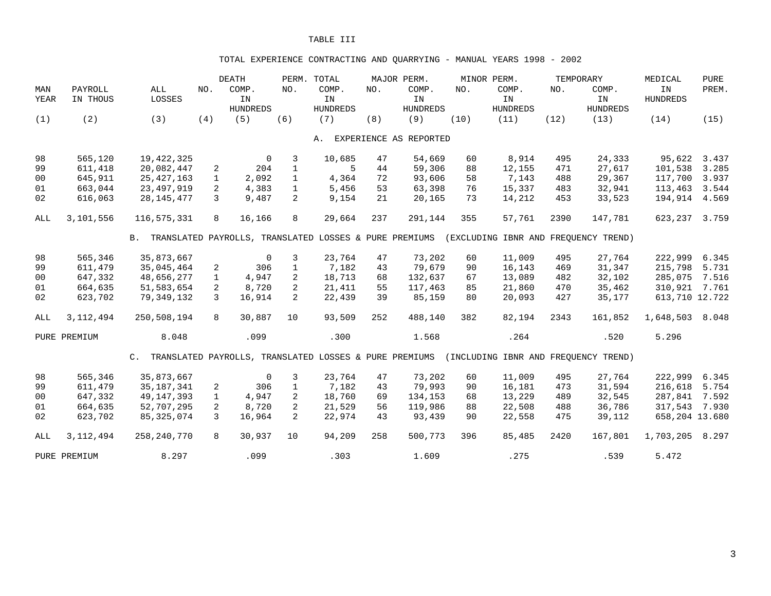## TOTAL EXPERIENCE CONTRACTING AND QUARRYING - MANUAL YEARS 1998 - 2002

|                |              |                                                           |               | <b>DEATH</b>                                           |                | PERM. TOTAL     |     | MAJOR PERM.            |      | MINOR PERM.     |      | TEMPORARY                            | MEDICAL         | <b>PURE</b> |
|----------------|--------------|-----------------------------------------------------------|---------------|--------------------------------------------------------|----------------|-----------------|-----|------------------------|------|-----------------|------|--------------------------------------|-----------------|-------------|
| MAN            | PAYROLL      | ALL                                                       | NO.           | COMP.                                                  | NO.            | COMP.           | NO. | COMP.                  | NO.  | COMP.           | NO.  | COMP.                                | IN              | PREM.       |
| YEAR           | IN THOUS     | LOSSES                                                    |               | IN                                                     |                | IN              |     | IN                     |      | IN              |      | IN                                   | <b>HUNDREDS</b> |             |
|                |              |                                                           |               | <b>HUNDREDS</b>                                        |                | <b>HUNDREDS</b> |     | <b>HUNDREDS</b>        |      | <b>HUNDREDS</b> |      | <b>HUNDREDS</b>                      |                 |             |
| (1)            | (2)          | (3)                                                       | (4)           | (5)                                                    | (6)            | (7)             | (8) | (9)                    | (10) | (11)            | (12) | (13)                                 | (14)            | (15)        |
|                |              |                                                           |               |                                                        |                | Α.              |     | EXPERIENCE AS REPORTED |      |                 |      |                                      |                 |             |
|                |              |                                                           |               |                                                        |                |                 |     |                        |      |                 |      |                                      |                 |             |
| 98             | 565,120      | 19, 422, 325                                              |               | $\mathbf 0$                                            | 3              | 10,685          | 47  | 54,669                 | 60   | 8,914           | 495  | 24,333                               | 95,622          | 3.437       |
| 99             | 611,418      | 20,082,447                                                | 2             | 204                                                    | $\mathbf{1}$   | 5               | 44  | 59,306                 | 88   | 12,155          | 471  | 27,617                               | 101,538         | 3.285       |
| 00             | 645,911      | 25, 427, 163                                              | $\mathbf{1}$  | 2,092                                                  | $\mathbf{1}$   | 4,364           | 72  | 93,606                 | 58   | 7,143           | 488  | 29,367                               | 117,700         | 3.937       |
| 01             | 663,044      | 23, 497, 919                                              | 2             | 4,383                                                  | $\mathbf{1}$   | 5,456           | 53  | 63,398                 | 76   | 15,337          | 483  | 32,941                               | 113,463         | 3.544       |
| 02             | 616,063      | 28, 145, 477                                              | 3             | 9,487                                                  | $\overline{2}$ | 9,154           | 21  | 20,165                 | 73   | 14,212          | 453  | 33,523                               | 194,914         | 4.569       |
| ALL            | 3,101,556    | 116,575,331                                               | 8             | 16,166                                                 | 8              | 29,664          | 237 | 291,144                | 355  | 57,761          | 2390 | 147,781                              | 623,237         | 3.759       |
|                |              | B. TRANSLATED PAYROLLS, TRANSLATED LOSSES & PURE PREMIUMS |               |                                                        |                |                 |     |                        |      |                 |      | (EXCLUDING IBNR AND FREOUENCY TREND) |                 |             |
| 98             | 565,346      | 35,873,667                                                |               | $\mathbf 0$                                            | 3              | 23,764          | 47  | 73,202                 | 60   | 11,009          | 495  | 27,764                               | 222,999         | 6.345       |
| 99             | 611,479      | 35,045,464                                                | 2             | 306                                                    | $\mathbf{1}$   | 7,182           | 43  | 79,679                 | 90   | 16,143          | 469  | 31,347                               | 215,798         | 5.731       |
| 0 <sub>0</sub> | 647,332      | 48,656,277                                                | $\mathbf{1}$  | 4,947                                                  | 2              | 18,713          | 68  | 132,637                | 67   | 13,089          | 482  | 32,102                               | 285,075         | 7.516       |
| 01             | 664,635      | 51,583,654                                                | 2             | 8,720                                                  | 2              | 21,411          | 55  | 117,463                | 85   | 21,860          | 470  | 35,462                               | 310,921 7.761   |             |
| 02             | 623,702      | 79,349,132                                                | $\mathcal{L}$ | 16,914                                                 | $\overline{2}$ | 22,439          | 39  | 85,159                 | 80   | 20,093          | 427  | 35,177                               | 613,710 12.722  |             |
|                |              |                                                           |               |                                                        |                |                 |     |                        |      |                 |      |                                      |                 |             |
| ALL            | 3, 112, 494  | 250,508,194                                               | 8             | 30,887                                                 | 10             | 93,509          | 252 | 488,140                | 382  | 82,194          | 2343 | 161,852                              | 1,648,503       | 8.048       |
|                | PURE PREMIUM | 8.048                                                     |               | .099                                                   |                | .300            |     | 1.568                  |      | .264            |      | .520                                 | 5.296           |             |
|                |              | $\mathsf{C}$ .                                            |               | TRANSLATED PAYROLLS, TRANSLATED LOSSES & PURE PREMIUMS |                |                 |     |                        |      |                 |      | (INCLUDING IBNR AND FREOUENCY TREND) |                 |             |
| 98             | 565,346      | 35,873,667                                                |               | $\overline{0}$                                         | 3              | 23,764          | 47  | 73,202                 | 60   | 11,009          | 495  | 27,764                               | 222,999         | 6.345       |
| 99             | 611,479      | 35, 187, 341                                              | 2             | 306                                                    | $\mathbf{1}$   | 7,182           | 43  | 79,993                 | 90   | 16,181          | 473  | 31,594                               | 216,618         | 5.754       |
| 0 <sub>0</sub> | 647,332      | 49, 147, 393                                              | $\mathbf{1}$  | 4,947                                                  | $\overline{2}$ | 18,760          | 69  | 134,153                | 68   | 13,229          | 489  | 32,545                               | 287,841         | 7.592       |
| 01             | 664,635      | 52,707,295                                                | 2             | 8,720                                                  | $\overline{2}$ | 21,529          | 56  | 119,986                | 88   | 22,508          | 488  | 36,786                               | 317,543 7.930   |             |
| 02             | 623,702      | 85, 325, 074                                              | $\mathcal{L}$ | 16,964                                                 | $\overline{2}$ | 22,974          | 43  | 93,439                 | 90   | 22,558          | 475  | 39,112                               | 658,204 13.680  |             |
| ALL            | 3, 112, 494  | 258, 240, 770                                             | 8             | 30,937                                                 | 10             | 94,209          | 258 | 500,773                | 396  | 85,485          | 2420 | 167,801                              | 1,703,205       | 8.297       |
|                | PURE PREMIUM | 8.297                                                     |               | .099                                                   |                | .303            |     | 1.609                  |      | .275            |      | .539                                 | 5.472           |             |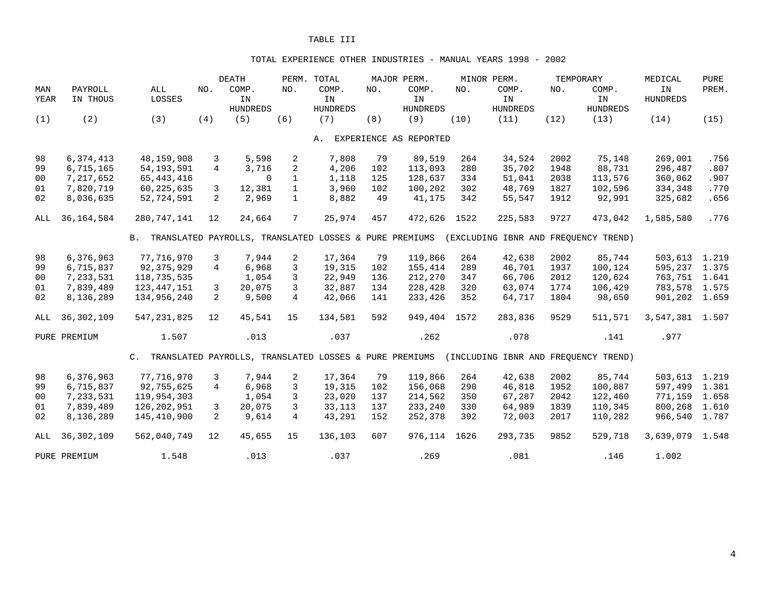#### TOTAL EXPERIENCE OTHER INDUSTRIES - MANUAL YEARS 1998 - 2002

|                |                        |                            |                     | <b>DEATH</b>                                           |                   | PERM. TOTAL     |           | MAJOR PERM.            |            | MINOR PERM.                          |              | TEMPORARY        | MEDICAL            | <b>PURE</b>  |
|----------------|------------------------|----------------------------|---------------------|--------------------------------------------------------|-------------------|-----------------|-----------|------------------------|------------|--------------------------------------|--------------|------------------|--------------------|--------------|
| MAN            | PAYROLL                | ALL                        | NO.                 | COMP.                                                  | NO.               | COMP.           | NO.       | COMP.                  | NO.        | COMP.                                | NO.          | COMP.            | IN                 | PREM.        |
| YEAR           | IN THOUS               | LOSSES                     |                     | IN                                                     |                   | IN              |           | IN                     |            | IN                                   |              | IN               | <b>HUNDREDS</b>    |              |
|                |                        |                            |                     | <b>HUNDREDS</b>                                        |                   | <b>HUNDREDS</b> |           | <b>HUNDREDS</b>        |            | <b>HUNDREDS</b>                      |              | <b>HUNDREDS</b>  |                    |              |
| (1)            | (2)                    | (3)                        | (4)                 | (5)                                                    | (6)               | (7)             | (8)       | (9)                    | (10)       | (11)                                 | (12)         | (13)             | (14)               | (15)         |
|                |                        |                            |                     |                                                        |                   | Α.              |           | EXPERIENCE AS REPORTED |            |                                      |              |                  |                    |              |
|                |                        |                            |                     |                                                        |                   |                 |           |                        |            |                                      |              |                  |                    |              |
| 98             | 6,374,413<br>6,715,165 | 48,159,908<br>54, 193, 591 | 3<br>$\overline{4}$ | 5,598<br>3,716                                         | 2                 | 7,808           | 79<br>102 | 89,519                 | 264<br>280 | 34,524<br>35,702                     | 2002<br>1948 | 75,148<br>88,731 | 269,001<br>296,487 | .756<br>.807 |
| 99             |                        |                            |                     |                                                        | 2<br>$\mathbf{1}$ | 4,206           |           | 113,093                | 334        |                                      |              |                  |                    |              |
| 0 <sub>0</sub> | 7,217,652              | 65, 443, 416               |                     | $\Omega$                                               | $\mathbf{1}$      | 1,118           | 125       | 128,637                |            | 51,041                               | 2038         | 113,576          | 360,062            | .907         |
| 01             | 7,820,719              | 60, 225, 635               | 3                   | 12,381                                                 |                   | 3,960           | 102       | 100,202                | 302        | 48,769                               | 1827         | 102,596          | 334,348            | .770         |
| 02             | 8,036,635              | 52,724,591                 | $\overline{2}$      | 2,969                                                  | $\mathbf{1}$      | 8,882           | 49        | 41,175                 | 342        | 55,547                               | 1912         | 92,991           | 325,682            | .656         |
| ALL            | 36, 164, 584           | 280,747,141                | 12                  | 24,664                                                 | 7                 | 25,974          | 457       | 472,626                | 1522       | 225,583                              | 9727         | 473,042          | 1,585,580          | .776         |
|                |                        | В.                         |                     | TRANSLATED PAYROLLS, TRANSLATED LOSSES & PURE PREMIUMS |                   |                 |           |                        |            | (EXCLUDING IBNR AND FREQUENCY TREND) |              |                  |                    |              |
| 98             | 6,376,963              | 77,716,970                 | 3                   | 7,944                                                  | $\overline{2}$    | 17,364          | 79        | 119,866                | 264        | 42,638                               | 2002         | 85,744           | 503,613 1.219      |              |
| 99             | 6,715,837              | 92,375,929                 | $\overline{4}$      | 6,968                                                  | 3                 | 19,315          | 102       | 155,414                | 289        | 46,701                               | 1937         | 100,124          | 595, 237 1.375     |              |
| 0 <sub>0</sub> | 7,233,531              | 118,735,535                |                     | 1,054                                                  | 3                 | 22,949          | 136       | 212,270                | 347        | 66,706                               | 2012         | 120,624          | 763,751 1.641      |              |
| 01             | 7,839,489              | 123, 447, 151              | 3                   | 20,075                                                 | 3                 | 32,887          | 134       | 228,428                | 320        | 63,074                               | 1774         | 106,429          | 783,578 1.575      |              |
| 02             | 8,136,289              | 134,956,240                | 2                   | 9,500                                                  | $\overline{4}$    | 42,066          | 141       | 233,426                | 352        | 64,717                               | 1804         | 98,650           | 901,202 1.659      |              |
|                |                        |                            |                     |                                                        |                   |                 |           |                        |            |                                      |              |                  |                    |              |
| ALL            | 36, 302, 109           | 547, 231, 825              | 12                  | 45,541                                                 | 15                | 134,581         | 592       | 949,404                | 1572       | 283,836                              | 9529         | 511,571          | 3,547,381 1.507    |              |
|                | PURE PREMIUM           | 1.507                      |                     | .013                                                   |                   | .037            |           | .262                   |            | .078                                 |              | .141             | .977               |              |
|                |                        | $C_{\rm A}$                |                     | TRANSLATED PAYROLLS, TRANSLATED LOSSES & PURE PREMIUMS |                   |                 |           |                        |            | (INCLUDING IBNR AND FREOUENCY TREND) |              |                  |                    |              |
| 98             | 6,376,963              | 77,716,970                 | 3                   | 7,944                                                  | 2                 | 17,364          | 79        | 119,866                | 264        | 42,638                               | 2002         | 85,744           | 503,613            | 1.219        |
| 99             | 6,715,837              | 92,755,625                 | $\overline{4}$      | 6,968                                                  | 3                 | 19,315          | 102       | 156,068                | 290        | 46,818                               | 1952         | 100,887          | 597,499            | 1.381        |
| 00             | 7,233,531              | 119,954,303                |                     | 1,054                                                  | 3                 | 23,020          | 137       | 214,562                | 350        | 67,287                               | 2042         | 122,460          | 771,159            | 1.658        |
| 01             | 7,839,489              | 126,202,951                | 3                   | 20,075                                                 | 3                 | 33,113          | 137       | 233,240                | 330        | 64,989                               | 1839         | 110,345          | 800,268            | 1.610        |
| 02             | 8,136,289              | 145,410,900                | $\overline{2}$      | 9,614                                                  | $\overline{4}$    | 43,291          | 152       | 252,378                | 392        | 72,003                               | 2017         | 110,282          | 966,540 1.787      |              |
|                |                        |                            |                     |                                                        |                   |                 |           |                        |            |                                      |              |                  |                    |              |
| ALL            | 36, 302, 109           | 562,040,749                | 12                  | 45,655                                                 | 15                | 136,103         | 607       | 976,114                | 1626       | 293,735                              | 9852         | 529,718          | 3,639,079 1.548    |              |
|                | PURE PREMIUM           | 1.548                      |                     | .013                                                   |                   | .037            |           | .269                   |            | .081                                 |              | .146             | 1.002              |              |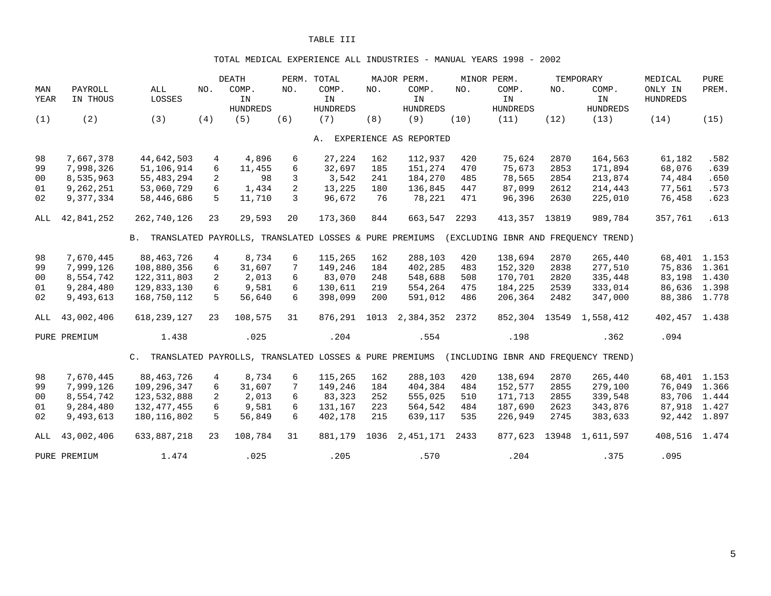#### TOTAL MEDICAL EXPERIENCE ALL INDUSTRIES - MANUAL YEARS 1998 - 2002

| MAN<br>YEAR    | PAYROLL<br>IN THOUS | ALL<br>LOSSES                                             | NO.            | <b>DEATH</b><br>COMP.<br>IN<br><b>HUNDREDS</b> | NO. | PERM. TOTAL<br>COMP.<br>IN<br><b>HUNDREDS</b> | NO.  | MAJOR PERM.<br>COMP.<br>IN<br><b>HUNDREDS</b> | NO.  | MINOR PERM.<br>COMP.<br>IN<br><b>HUNDREDS</b> | NO.   | TEMPORARY<br>COMP.<br>IN<br><b>HUNDREDS</b> | MEDICAL<br>ONLY IN<br><b>HUNDREDS</b> | <b>PURE</b><br>PREM. |
|----------------|---------------------|-----------------------------------------------------------|----------------|------------------------------------------------|-----|-----------------------------------------------|------|-----------------------------------------------|------|-----------------------------------------------|-------|---------------------------------------------|---------------------------------------|----------------------|
| (1)            | (2)                 | (3)                                                       | (4)            | (5)                                            | (6) | (7)                                           | (8)  | (9)                                           | (10) | (11)                                          | (12)  | (13)                                        | (14)                                  | (15)                 |
|                |                     |                                                           |                |                                                |     | Α.                                            |      | EXPERIENCE AS REPORTED                        |      |                                               |       |                                             |                                       |                      |
| 98             | 7,667,378           | 44,642,503                                                | 4              | 4,896                                          | 6   | 27,224                                        | 162  | 112,937                                       | 420  | 75,624                                        | 2870  | 164,563                                     | 61,182                                | .582                 |
| 99             | 7,998,326           | 51,106,914                                                | 6              | 11,455                                         | 6   | 32,697                                        | 185  | 151,274                                       | 470  | 75,673                                        | 2853  | 171,894                                     | 68,076                                | .639                 |
| 0 <sub>0</sub> | 8,535,963           | 55,483,294                                                | 2              | 98                                             | 3   | 3,542                                         | 241  | 184,270                                       | 485  | 78,565                                        | 2854  | 213,874                                     | 74,484                                | .650                 |
| 01             | 9,262,251           | 53,060,729                                                | 6              | 1,434                                          | 2   | 13,225                                        | 180  | 136,845                                       | 447  | 87,099                                        | 2612  | 214,443                                     | 77,561                                | .573                 |
| 02             | 9,377,334           | 58,446,686                                                | 5              | 11,710                                         | 3   | 96,672                                        | 76   | 78,221                                        | 471  | 96,396                                        | 2630  | 225,010                                     | 76,458                                | .623                 |
| ALL            | 42,841,252          | 262,740,126                                               | 23             | 29,593                                         | 20  | 173,360                                       | 844  | 663,547                                       | 2293 | 413,357                                       | 13819 | 989,784                                     | 357,761                               | .613                 |
|                |                     | B. TRANSLATED PAYROLLS, TRANSLATED LOSSES & PURE PREMIUMS |                |                                                |     |                                               |      |                                               |      |                                               |       | (EXCLUDING IBNR AND FREQUENCY TREND)        |                                       |                      |
| 98             | 7,670,445           | 88,463,726                                                | $\overline{4}$ | 8,734                                          | 6   | 115,265                                       | 162  | 288,103                                       | 420  | 138,694                                       | 2870  | 265,440                                     | 68,401 1.153                          |                      |
| 99             | 7,999,126           | 108,880,356                                               | 6              | 31,607                                         | 7   | 149,246                                       | 184  | 402,285                                       | 483  | 152,320                                       | 2838  | 277,510                                     | 75,836 1.361                          |                      |
| 00             | 8,554,742           | 122, 311, 803                                             | $\overline{2}$ | 2,013                                          | 6   | 83,070                                        | 248  | 548,688                                       | 508  | 170,701                                       | 2820  | 335,448                                     | 83,198                                | 1.430                |
| 01             | 9,284,480           | 129,833,130                                               | 6              | 9,581                                          | 6   | 130,611                                       | 219  | 554,264                                       | 475  | 184,225                                       | 2539  | 333,014                                     | 86,636 1.398                          |                      |
| 02             | 9,493,613           | 168,750,112                                               | 5              | 56,640                                         | 6   | 398,099                                       | 200  | 591,012                                       | 486  | 206,364                                       | 2482  | 347,000                                     | 88,386 1.778                          |                      |
| ALL            | 43,002,406          | 618, 239, 127                                             | 23             | 108,575                                        | 31  | 876,291                                       | 1013 | 2,384,352                                     | 2372 | 852,304 13549                                 |       | 1,558,412                                   | 402,457 1.438                         |                      |
|                | PURE PREMIUM        | 1.438                                                     |                | .025                                           |     | .204                                          |      | .554                                          |      | .198                                          |       | .362                                        | .094                                  |                      |
|                |                     | C. TRANSLATED PAYROLLS, TRANSLATED LOSSES & PURE PREMIUMS |                |                                                |     |                                               |      |                                               |      |                                               |       | (INCLUDING IBNR AND FREOUENCY TREND)        |                                       |                      |
| 98             | 7,670,445           | 88, 463, 726                                              | $\overline{4}$ | 8,734                                          | 6   | 115,265                                       | 162  | 288,103                                       | 420  | 138,694                                       | 2870  | 265,440                                     | 68,401 1.153                          |                      |
| 99             | 7,999,126           | 109,296,347                                               | 6              | 31,607                                         | 7   | 149,246                                       | 184  | 404,384                                       | 484  | 152,577                                       | 2855  | 279,100                                     | 76,049                                | 1.366                |
| 0 <sub>0</sub> | 8,554,742           | 123,532,888                                               | $\overline{2}$ | 2,013                                          | 6   | 83,323                                        | 252  | 555,025                                       | 510  | 171,713                                       | 2855  | 339,548                                     | 83,706 1.444                          |                      |
| 01             | 9,284,480           | 132, 477, 455                                             | 6              | 9,581                                          | 6   | 131,167                                       | 223  | 564,542                                       | 484  | 187,690                                       | 2623  | 343,876                                     | 87,918 1.427                          |                      |
| 02             | 9,493,613           | 180, 116, 802                                             | 5              | 56,849                                         | 6   | 402,178                                       | 215  | 639,117                                       | 535  | 226,949                                       | 2745  | 383,633                                     | 92,442 1.897                          |                      |
| ALL            | 43,002,406          | 633,887,218                                               | 23             | 108,784                                        | 31  | 881,179                                       | 1036 | 2,451,171                                     | 2433 | 877,623                                       | 13948 | 1,611,597                                   | 408,516 1.474                         |                      |
|                | PURE PREMIUM        | 1.474                                                     |                | .025                                           |     | .205                                          |      | .570                                          |      | .204                                          |       | .375                                        | .095                                  |                      |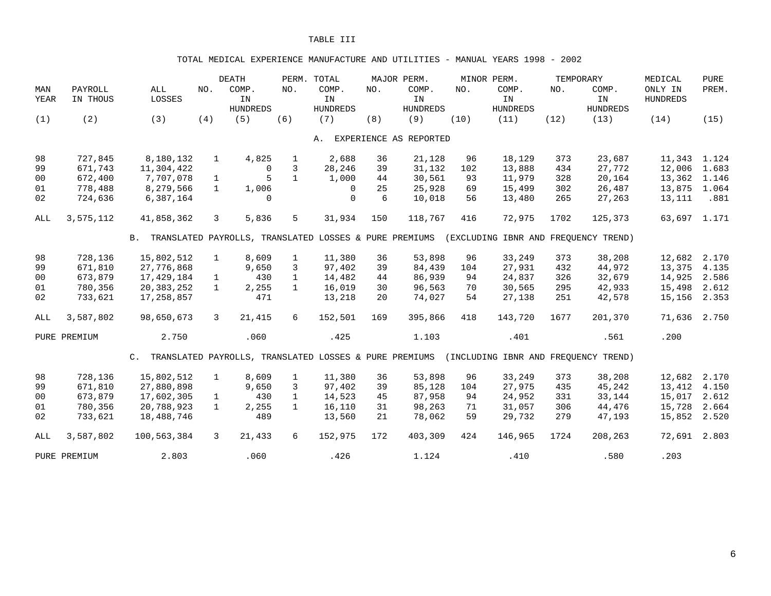#### TOTAL MEDICAL EXPERIENCE MANUFACTURE AND UTILITIES - MANUAL YEARS 1998 - 2002

| MAN            | PAYROLL      | ALL                                                       | NO.          | <b>DEATH</b><br>COMP.                                  | NO.          | PERM. TOTAL<br>COMP. | NO. | MAJOR PERM.<br>COMP.   | NO.  | MINOR PERM.<br>COMP.                 | NO.  | TEMPORARY<br>COMP. | MEDICAL<br>ONLY IN | <b>PURE</b><br>PREM. |
|----------------|--------------|-----------------------------------------------------------|--------------|--------------------------------------------------------|--------------|----------------------|-----|------------------------|------|--------------------------------------|------|--------------------|--------------------|----------------------|
| YEAR           | IN THOUS     | LOSSES                                                    |              | IN                                                     |              | IN                   |     | IN                     |      | IN                                   |      | IN                 | <b>HUNDREDS</b>    |                      |
|                |              |                                                           |              | <b>HUNDREDS</b>                                        |              | <b>HUNDREDS</b>      |     | <b>HUNDREDS</b>        |      | <b>HUNDREDS</b>                      |      | <b>HUNDREDS</b>    |                    |                      |
| (1)            | (2)          | (3)                                                       | (4)          | (5)                                                    | (6)          | (7)                  | (8) | (9)                    | (10) | (11)                                 | (12) | (13)               | (14)               | (15)                 |
|                |              |                                                           |              |                                                        |              | Α.                   |     | EXPERIENCE AS REPORTED |      |                                      |      |                    |                    |                      |
| 98             | 727,845      | 8,180,132                                                 | $\mathbf{1}$ | 4,825                                                  | $\mathbf{1}$ | 2,688                | 36  | 21,128                 | 96   | 18,129                               | 373  | 23,687             | 11,343             | 1.124                |
| 99             | 671,743      | 11,304,422                                                |              | $\Omega$                                               | 3            | 28,246               | 39  | 31,132                 | 102  | 13,888                               | 434  | 27,772             | 12,006             | 1.683                |
| 0 <sub>0</sub> | 672,400      | 7,707,078                                                 | $\mathbf{1}$ | 5                                                      | $\mathbf{1}$ | 1,000                | 44  | 30,561                 | 93   | 11,979                               | 328  | 20,164             | 13,362             | 1.146                |
| 01             | 778,488      | 8,279,566                                                 | $\mathbf{1}$ | 1,006                                                  |              | $\Omega$             | 25  | 25,928                 | 69   | 15,499                               | 302  | 26,487             | 13,875             | 1.064                |
| 02             | 724,636      | 6,387,164                                                 |              | 0                                                      |              | $\mathbf 0$          | 6   | 10,018                 | 56   | 13,480                               | 265  | 27,263             | 13,111             | .881                 |
| ALL            | 3,575,112    | 41,858,362                                                | 3            | 5,836                                                  | 5            | 31,934               | 150 | 118,767                | 416  | 72,975                               | 1702 | 125,373            | 63,697 1.171       |                      |
|                |              | B. TRANSLATED PAYROLLS, TRANSLATED LOSSES & PURE PREMIUMS |              |                                                        |              |                      |     |                        |      | (EXCLUDING IBNR AND FREQUENCY TREND) |      |                    |                    |                      |
| 98             | 728,136      | 15,802,512                                                | $\mathbf{1}$ | 8,609                                                  | $\mathbf{1}$ | 11,380               | 36  | 53,898                 | 96   | 33,249                               | 373  | 38,208             | 12,682             | 2.170                |
| 99             | 671,810      | 27,776,868                                                |              | 9,650                                                  | 3            | 97,402               | 39  | 84,439                 | 104  | 27,931                               | 432  | 44,972             | 13,375             | 4.135                |
| 0 <sub>0</sub> | 673,879      | 17,429,184                                                | $\mathbf{1}$ | 430                                                    | $\mathbf{1}$ | 14,482               | 44  | 86,939                 | 94   | 24,837                               | 326  | 32,679             | 14,925             | 2.586                |
| 01             | 780,356      | 20,383,252                                                | $\mathbf{1}$ | 2,255                                                  | $\mathbf{1}$ | 16,019               | 30  | 96,563                 | 70   | 30,565                               | 295  | 42,933             | 15,498             | 2.612                |
| 02             | 733,621      | 17,258,857                                                |              | 471                                                    |              | 13,218               | 20  | 74,027                 | 54   | 27,138                               | 251  | 42,578             | 15,156             | 2.353                |
| ALL            | 3,587,802    | 98,650,673                                                | 3            | 21,415                                                 | 6            | 152,501              | 169 | 395,866                | 418  | 143,720                              | 1677 | 201,370            | 71,636 2.750       |                      |
|                | PURE PREMIUM | 2.750                                                     |              | .060                                                   |              | .425                 |     | 1.103                  |      | .401                                 |      | .561               | .200               |                      |
|                |              | $\mathsf{C}$ .                                            |              | TRANSLATED PAYROLLS, TRANSLATED LOSSES & PURE PREMIUMS |              |                      |     |                        |      | (INCLUDING IBNR AND FREQUENCY TREND) |      |                    |                    |                      |
| 98             | 728,136      | 15,802,512                                                | $\mathbf{1}$ | 8,609                                                  | $\mathbf{1}$ | 11,380               | 36  | 53,898                 | 96   | 33,249                               | 373  | 38,208             | 12,682             | 2.170                |
| 99             | 671,810      | 27,880,898                                                |              | 9,650                                                  | 3            | 97,402               | 39  | 85,128                 | 104  | 27,975                               | 435  | 45,242             | 13,412             | 4.150                |
| 00             | 673,879      | 17,602,305                                                | $\mathbf{1}$ | 430                                                    | $\mathbf{1}$ | 14,523               | 45  | 87,958                 | 94   | 24,952                               | 331  | 33,144             | 15,017             | 2.612                |
| 01             | 780,356      | 20,788,923                                                | $\mathbf{1}$ | 2,255                                                  | $\mathbf{1}$ | 16,110               | 31  | 98,263                 | 71   | 31,057                               | 306  | 44,476             | 15,728             | 2.664                |
| 02             | 733,621      | 18,488,746                                                |              | 489                                                    |              | 13,560               | 21  | 78,062                 | 59   | 29,732                               | 279  | 47,193             | 15,852             | 2.520                |
| ALL            | 3,587,802    | 100,563,384                                               | 3            | 21,433                                                 | 6            | 152,975              | 172 | 403,309                | 424  | 146,965                              | 1724 | 208,263            | 72,691             | 2.803                |
|                | PURE PREMIUM | 2.803                                                     |              | .060                                                   |              | .426                 |     | 1.124                  |      | .410                                 |      | .580               | .203               |                      |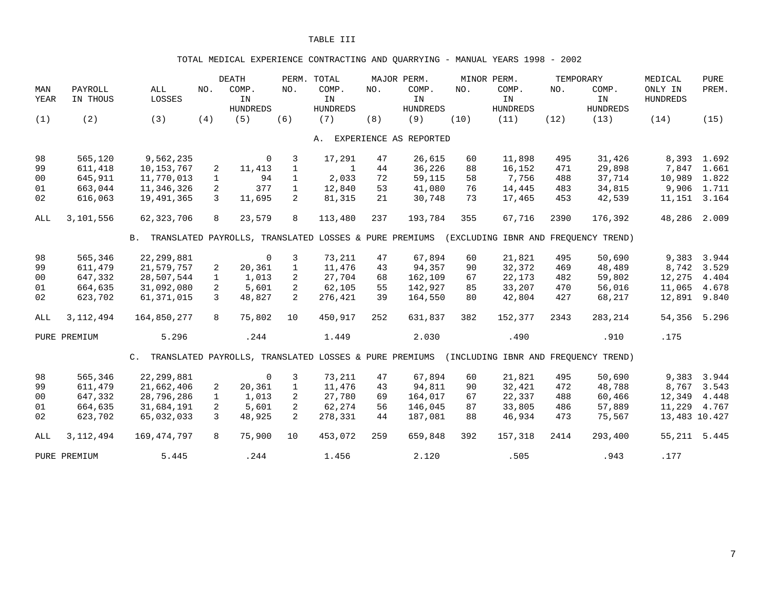## TOTAL MEDICAL EXPERIENCE CONTRACTING AND QUARRYING - MANUAL YEARS 1998 - 2002

| MAN  | PAYROLL      | ALL                                                       | NO.           | <b>DEATH</b><br>COMP. | NO.            | PERM. TOTAL<br>COMP. | NO. | MAJOR PERM.<br>COMP.   | NO.  | MINOR PERM.<br>COMP. | TEMPORARY<br>NO. | COMP.                                | MEDICAL<br>ONLY IN | <b>PURE</b><br>PREM. |
|------|--------------|-----------------------------------------------------------|---------------|-----------------------|----------------|----------------------|-----|------------------------|------|----------------------|------------------|--------------------------------------|--------------------|----------------------|
| YEAR | IN THOUS     | LOSSES                                                    |               | ${\tt IN}$            |                | IN                   |     | IN                     |      | IN                   |                  | IN                                   | HUNDREDS           |                      |
|      |              |                                                           |               | <b>HUNDREDS</b>       |                | <b>HUNDREDS</b>      |     | <b>HUNDREDS</b>        |      | <b>HUNDREDS</b>      |                  | <b>HUNDREDS</b>                      |                    |                      |
| (1)  | (2)          | (3)                                                       | (4)           | (5)                   | (6)            | (7)                  | (8) | (9)                    | (10) | (11)                 | (12)             | (13)                                 | (14)               | (15)                 |
|      |              |                                                           |               |                       |                | Α.                   |     | EXPERIENCE AS REPORTED |      |                      |                  |                                      |                    |                      |
| 98   | 565,120      | 9,562,235                                                 |               | $\mathbf 0$           | 3              | 17,291               | 47  | 26,615                 | 60   | 11,898               | 495              | 31,426                               |                    | 8,393 1.692          |
| 99   | 611,418      | 10, 153, 767                                              | 2             | 11,413                | $\mathbf{1}$   | 1                    | 44  | 36,226                 | 88   | 16,152               | 471              | 29,898                               | 7,847              | 1.661                |
| 00   | 645,911      | 11,770,013                                                | $\mathbf{1}$  | 94                    | $\mathbf{1}$   | 2,033                | 72  | 59,115                 | 58   | 7,756                | 488              | 37,714                               | 10,989             | 1.822                |
| 01   | 663,044      | 11,346,326                                                | 2             | 377                   | $\mathbf{1}$   | 12,840               | 53  | 41,080                 | 76   | 14,445               | 483              | 34,815                               |                    | 9,906 1.711          |
| 02   | 616,063      | 19,491,365                                                | 3             | 11,695                | $\overline{2}$ | 81,315               | 21  | 30,748                 | 73   | 17,465               | 453              | 42,539                               | 11, 151 3. 164     |                      |
| ALL  | 3,101,556    | 62, 323, 706                                              | 8             | 23,579                | 8              | 113,480              | 237 | 193,784                | 355  | 67,716               | 2390             | 176,392                              | 48,286             | 2.009                |
|      |              | B. TRANSLATED PAYROLLS, TRANSLATED LOSSES & PURE PREMIUMS |               |                       |                |                      |     |                        |      |                      |                  | (EXCLUDING IBNR AND FREOUENCY TREND) |                    |                      |
| 98   | 565,346      | 22, 299, 881                                              |               | $\mathbf 0$           | 3              | 73,211               | 47  | 67,894                 | 60   | 21,821               | 495              | 50,690                               | 9,383              | 3.944                |
| 99   | 611,479      | 21,579,757                                                | 2             | 20,361                | $\mathbf{1}$   | 11,476               | 43  | 94,357                 | 90   | 32,372               | 469              | 48,489                               | 8,742              | 3.529                |
| 00   | 647,332      | 28,507,544                                                | $\mathbf{1}$  | 1,013                 | 2              | 27,704               | 68  | 162,109                | 67   | 22,173               | 482              | 59,802                               | 12,275             | 4.404                |
| 01   | 664,635      | 31,092,080                                                | 2             | 5,601                 | $\overline{2}$ | 62,105               | 55  | 142,927                | 85   | 33,207               | 470              | 56,016                               | 11,065             | 4.678                |
| 02   | 623,702      | 61, 371, 015                                              | 3             | 48,827                | $\overline{2}$ | 276,421              | 39  | 164,550                | 80   | 42,804               | 427              | 68,217                               | 12,891             | 9.840                |
| ALL  | 3, 112, 494  | 164,850,277                                               | 8             | 75,802                | 10             | 450,917              | 252 | 631,837                | 382  | 152,377              | 2343             | 283,214                              | 54,356             | 5.296                |
|      | PURE PREMIUM | 5.296                                                     |               | .244                  |                | 1.449                |     | 2.030                  |      | .490                 |                  | .910                                 | .175               |                      |
|      |              | C. TRANSLATED PAYROLLS, TRANSLATED LOSSES & PURE PREMIUMS |               |                       |                |                      |     |                        |      |                      |                  | (INCLUDING IBNR AND FREQUENCY TREND) |                    |                      |
| 98   | 565,346      | 22, 299, 881                                              |               | $\mathbf 0$           | 3              | 73,211               | 47  | 67,894                 | 60   | 21,821               | 495              | 50,690                               | 9,383              | 3.944                |
| 99   | 611,479      | 21,662,406                                                | 2             | 20,361                | $\mathbf{1}$   | 11,476               | 43  | 94,811                 | 90   | 32,421               | 472              | 48,788                               | 8,767              | 3.543                |
| 00   | 647,332      | 28,796,286                                                | $\mathbf{1}$  | 1,013                 | 2              | 27,780               | 69  | 164,017                | 67   | 22,337               | 488              | 60,466                               | 12,349             | 4.448                |
| 01   | 664,635      | 31,684,191                                                | 2             | 5,601                 | $\overline{a}$ | 62,274               | 56  | 146,045                | 87   | 33,805               | 486              | 57,889                               | 11,229             | 4.767                |
| 02   | 623,702      | 65,032,033                                                | $\mathcal{L}$ | 48,925                | $\overline{2}$ | 278,331              | 44  | 187,081                | 88   | 46,934               | 473              | 75,567                               | 13,483 10.427      |                      |
| ALL  | 3, 112, 494  | 169,474,797                                               | 8             | 75,900                | 10             | 453,072              | 259 | 659,848                | 392  | 157,318              | 2414             | 293,400                              | 55, 211 5.445      |                      |
|      | PURE PREMIUM | 5.445                                                     |               | .244                  |                | 1.456                |     | 2.120                  |      | .505                 |                  | .943                                 | .177               |                      |